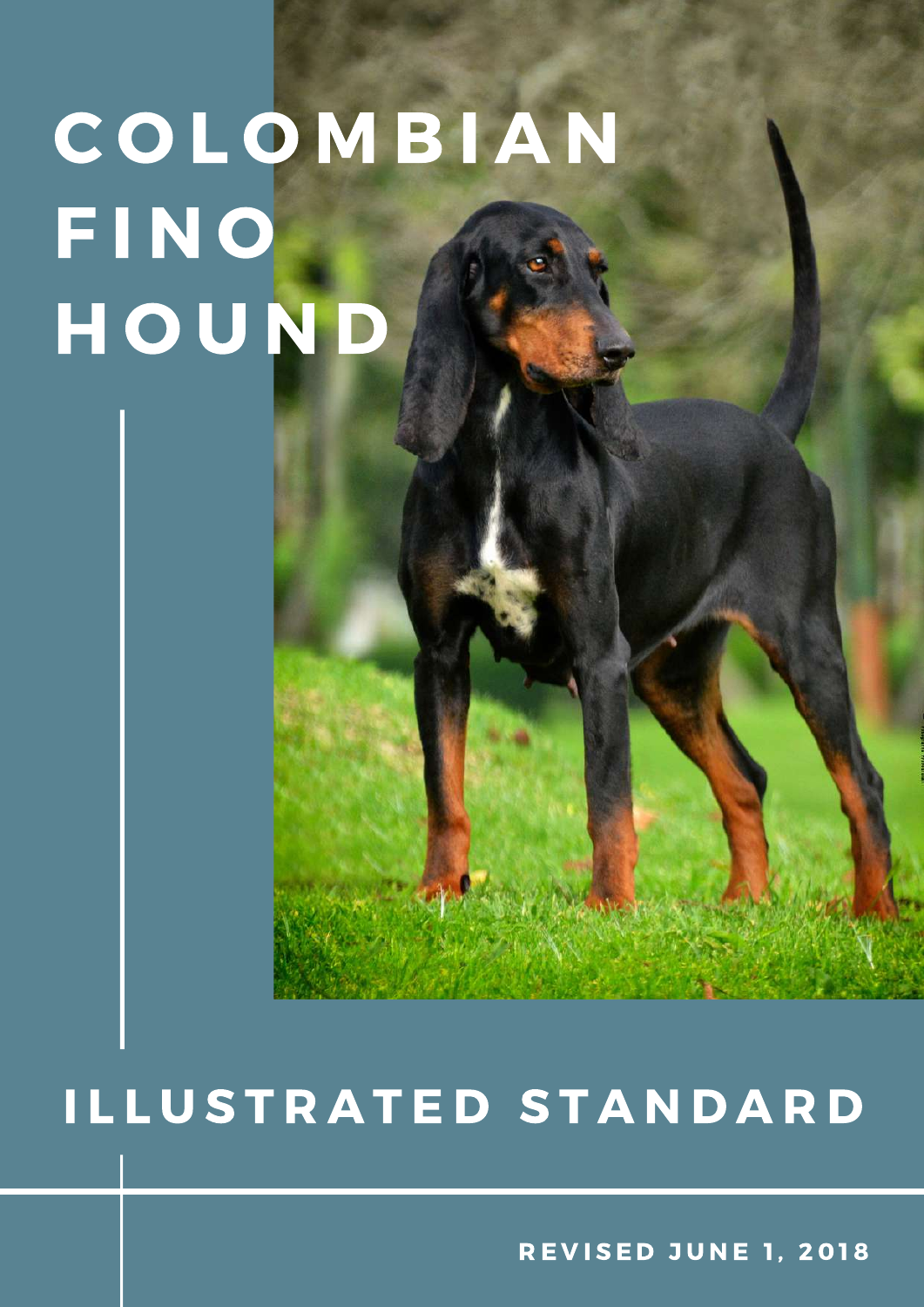### I L L U S T R A T E D S T A N D A R D

**REVISED JUNE 1, 2018**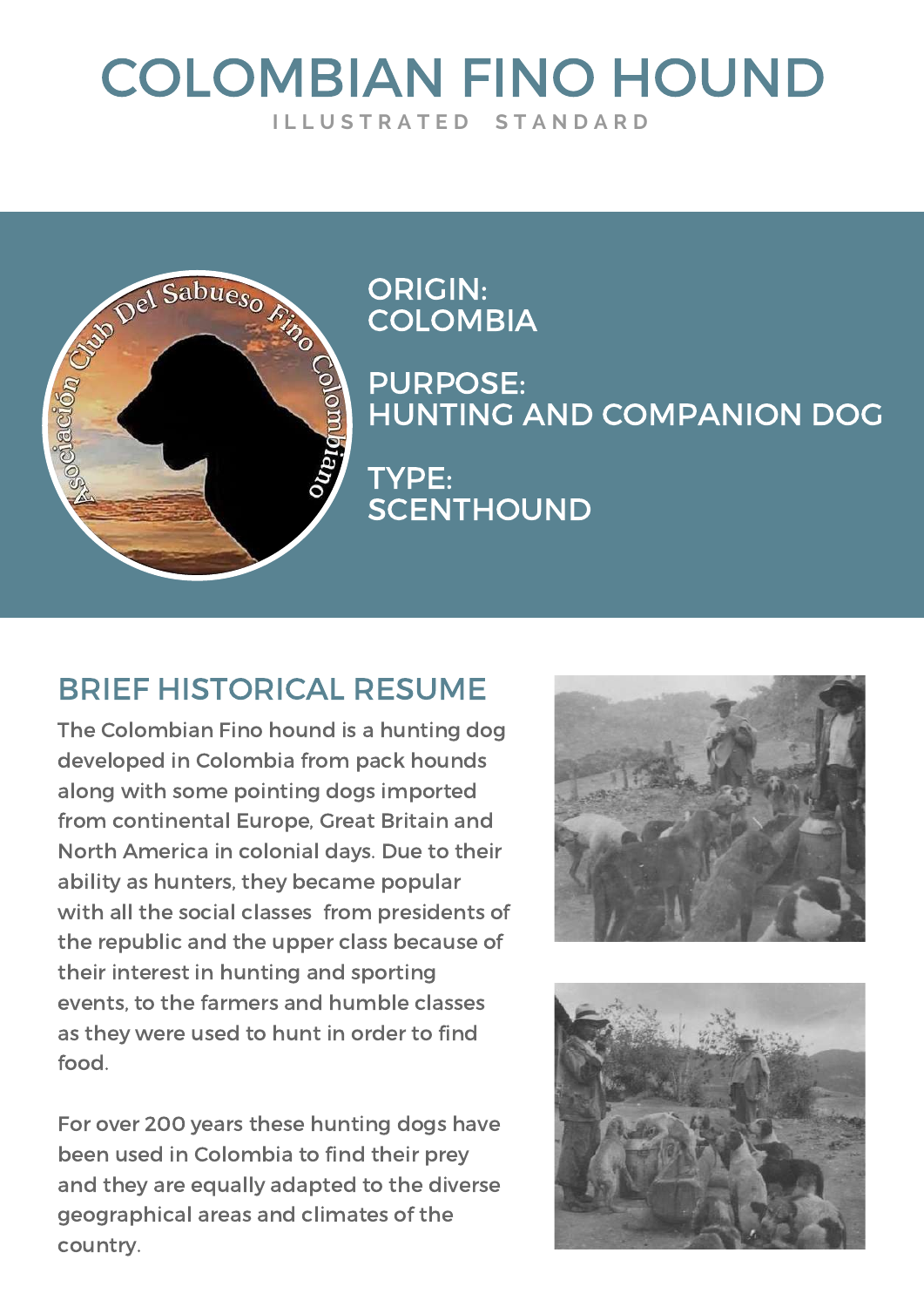#### COLOMBIAN FINO HOUND **I L L U S T R A T E D S T A N D A R D**



ORIGIN: **COLOMBIA** 

PURPOSE: HUNTING AND COMPANION DOG TYPE: **SCENTHOUND** 

#### BRIEF HISTORICAL RESUME

The Colombian Fino hound is a hunting dog developed in Colombia from pack hounds along with some pointing dogs imported from continental Europe, Great Britain and North America in colonial days. Due to their ability as hunters, they became popular with all the social classes from presidents of the republic and the upper class because of their interest in hunting and sporting events, to the farmers and humble classes as they were used to hunt in order to find food.

For over 200 years these hunting dogs have been used in Colombia to find their prey and they are equally adapted to the diverse geographical areas and climates of the country.



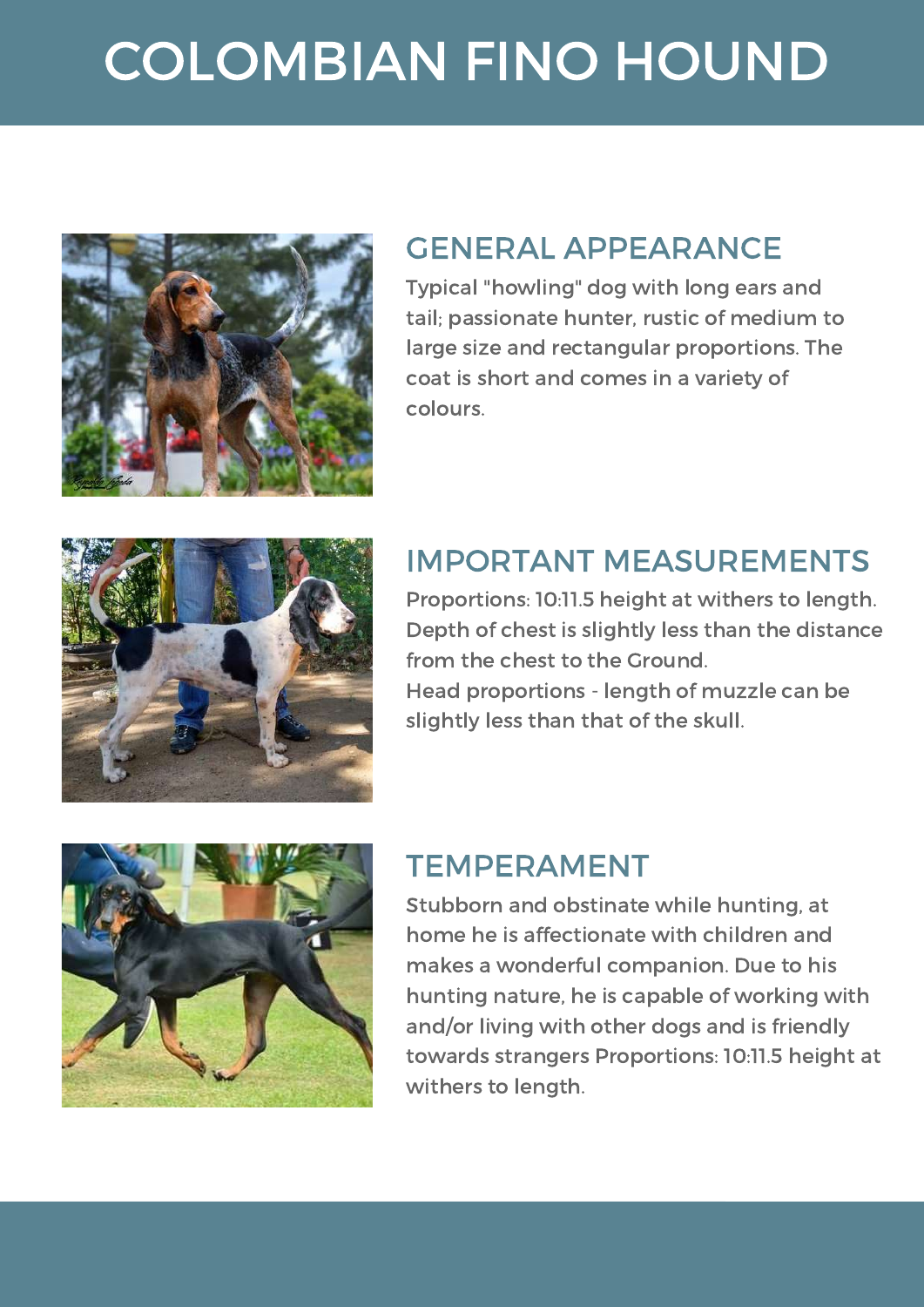

#### GENERAL APPEARANCE

Typical "howling" dog with long ears and tail; passionate hunter, rustic of medium to large size and rectangular proportions. The coat is short and comes in a variety of colours.



#### IMPORTANT MEASUREMENTS

Proportions: 10:11.5 height at withers to length. Depth of chest is slightly less than the distance from the chest to the Ground. Head proportions - length of muzzle can be slightly less than that of the skull.



#### TEMPERAMENT

Stubborn and obstinate while hunting, at home he is affectionate with children and makes a wonderful companion. Due to his hunting nature, he is capable of working with and/or living with other dogs and is friendly towards strangers Proportions: 10:11.5 height at withers to length.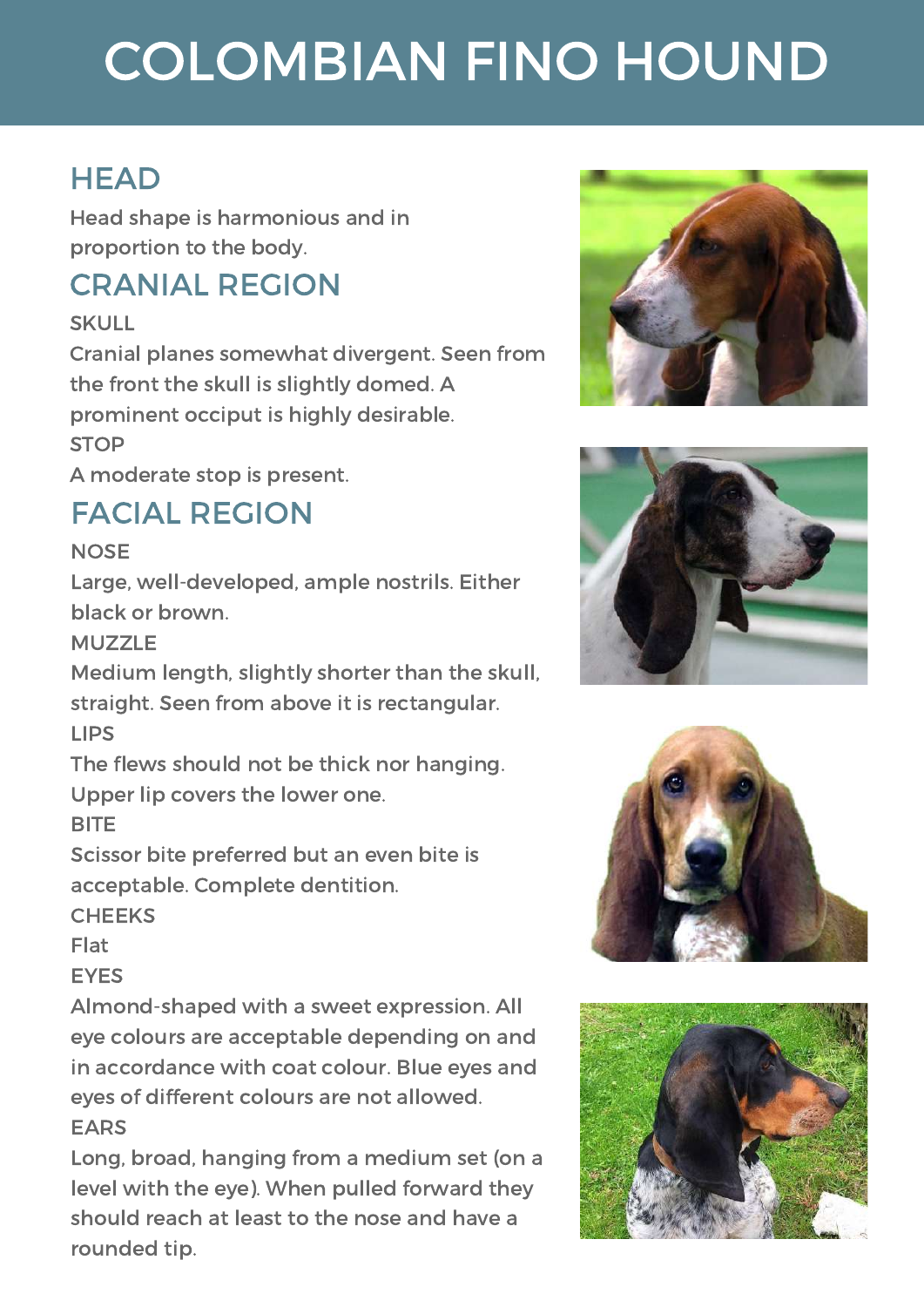#### **HEAD**

Head shape is harmonious and in proportion to the body.

#### CRANIAL REGION

SKULL

Cranial planes somewhat divergent. Seen from the front the skull is slightly domed. A prominent occiput is highly desirable. **STOP** 

A moderate stop is present.

#### FACIAL REGION

**NOSE** 

Large, well-developed, ample nostrils. Either black or brown.

MUZZLE

Medium length, slightly shorter than the skull, straight. Seen from above it is rectangular. LIPS

The flews should not be thick nor hanging.

Upper lip covers the lower one.

**BITE** 

Scissor bite preferred but an even bite is acceptable. Complete dentition.

**CHEEKS** 

Flat

**EYES** 

Almond-shaped with a sweet expression. All eye colours are acceptable depending on and in accordance with coat colour. Blue eyes and eyes of different colours are not allowed. EARS

Long, broad, hanging from a medium set (on a level with the eye). When pulled forward they should reach at least to the nose and have a rounded tip.







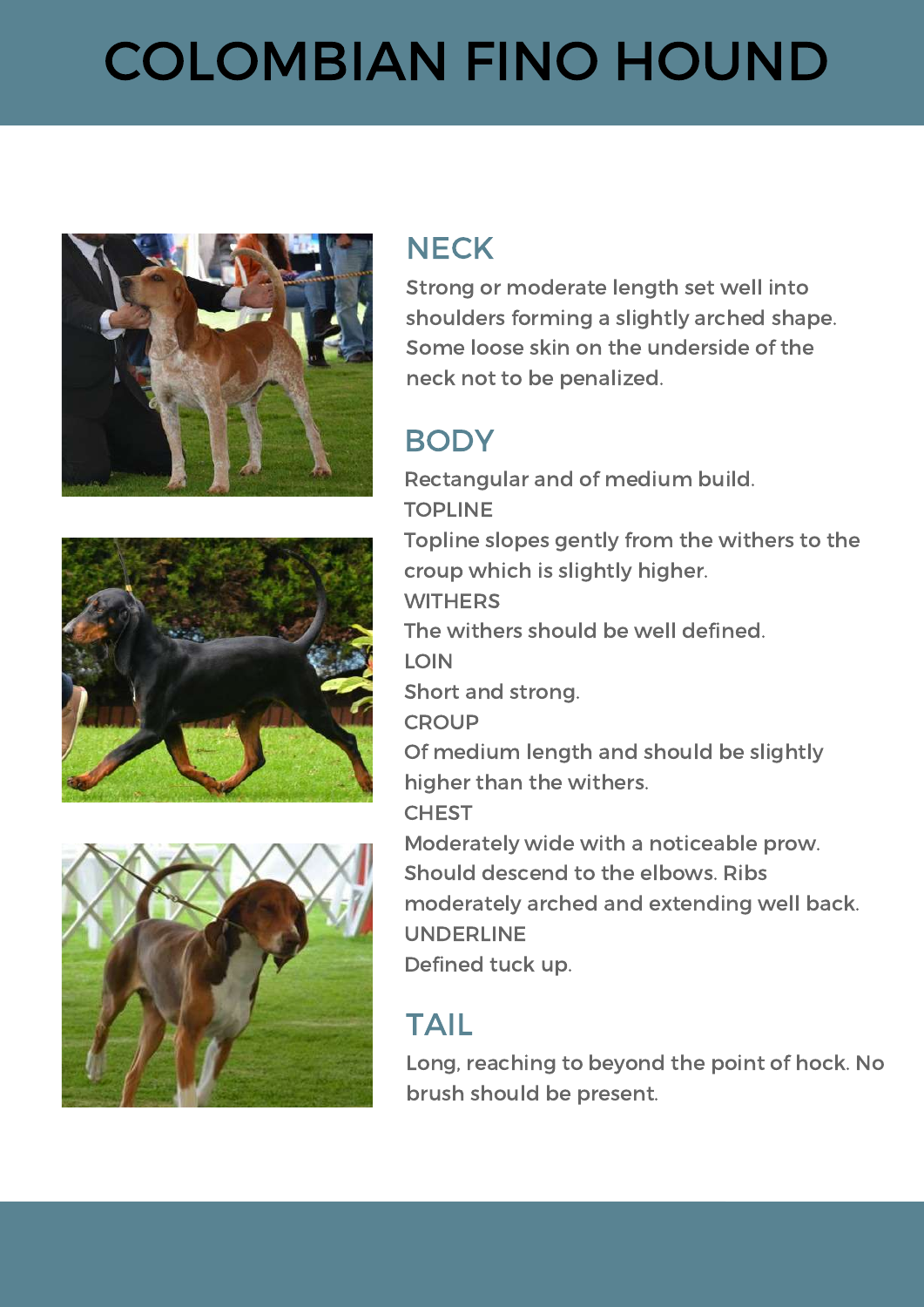





#### **NECK**

Strong or moderate length set well into shoulders forming a slightly arched shape. Some loose skin on the underside of the neck not to be penalized.

#### **BODY**

Rectangular and of medium build. TOPLINE Topline slopes gently from the withers to the croup which is slightly higher. **WITHERS** The withers should be well defined. LOIN Short and strong. **CROUP** Of medium length and should be slightly higher than the withers. **CHEST** Moderately wide with a noticeable prow. Should descend to the elbows. Ribs moderately arched and extending well back. UNDERLINE Defined tuck up.

#### TAIL

Long, reaching to beyond the point of hock. No brush should be present.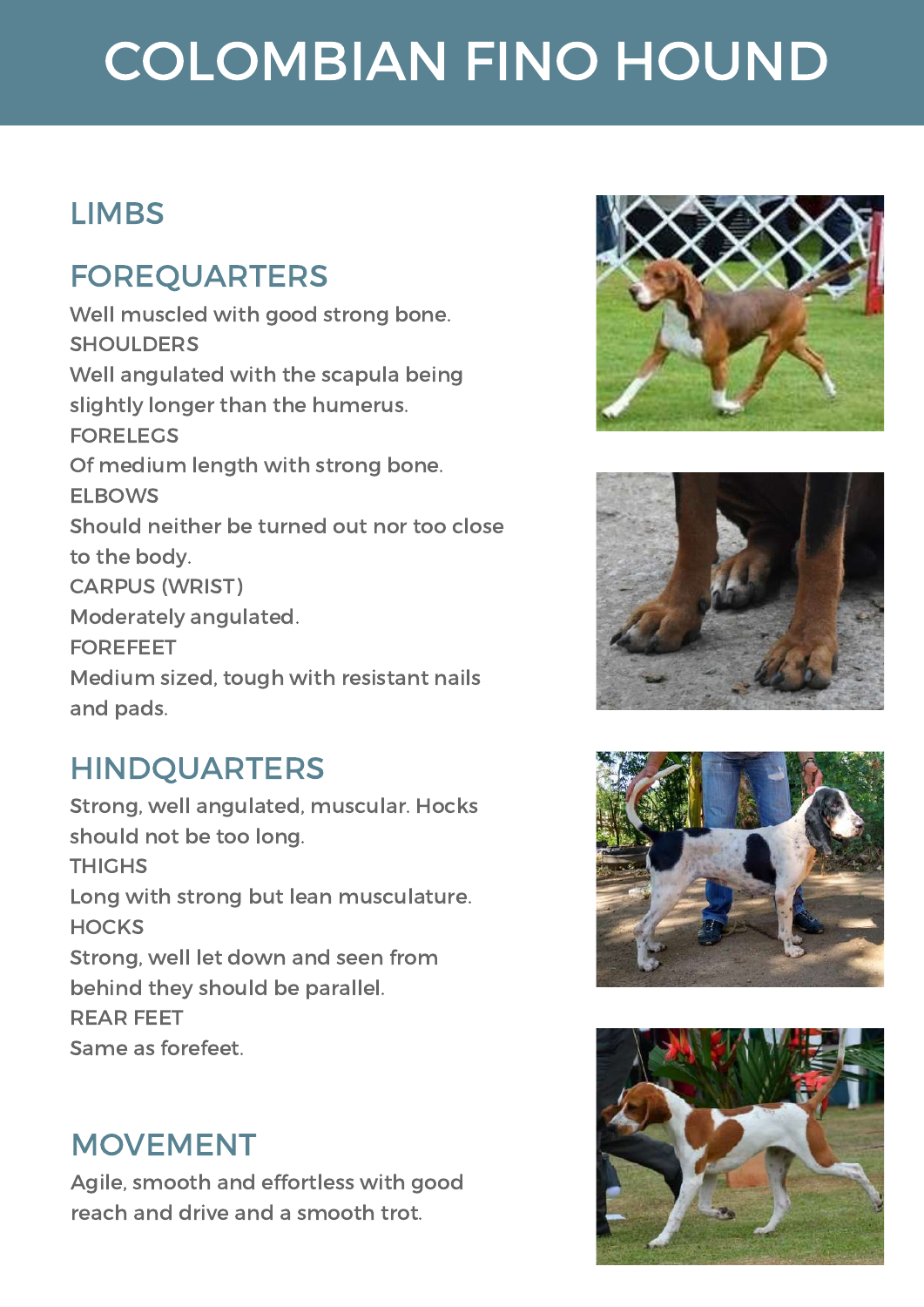#### **LIMBS**

#### FOREQUARTERS

Well muscled with good strong bone. **SHOULDERS** Well angulated with the scapula being slightly longer than the humerus. FORELEGS Of medium length with strong bone. ELBOWS Should neither be turned out nor too close to the body. CARPUS (WRIST) Moderately angulated. FOREFEET Medium sized, tough with resistant nails and pads.

#### HINDQUARTERS

Strong, well angulated, muscular. Hocks should not be too long. **THIGHS** Long with strong but lean musculature. **HOCKS** Strong, well let down and seen from behind they should be parallel. REAR FEET Same as forefeet.

#### MOVEMENT

Agile, smooth and effortless with good reach and drive and a smooth trot.







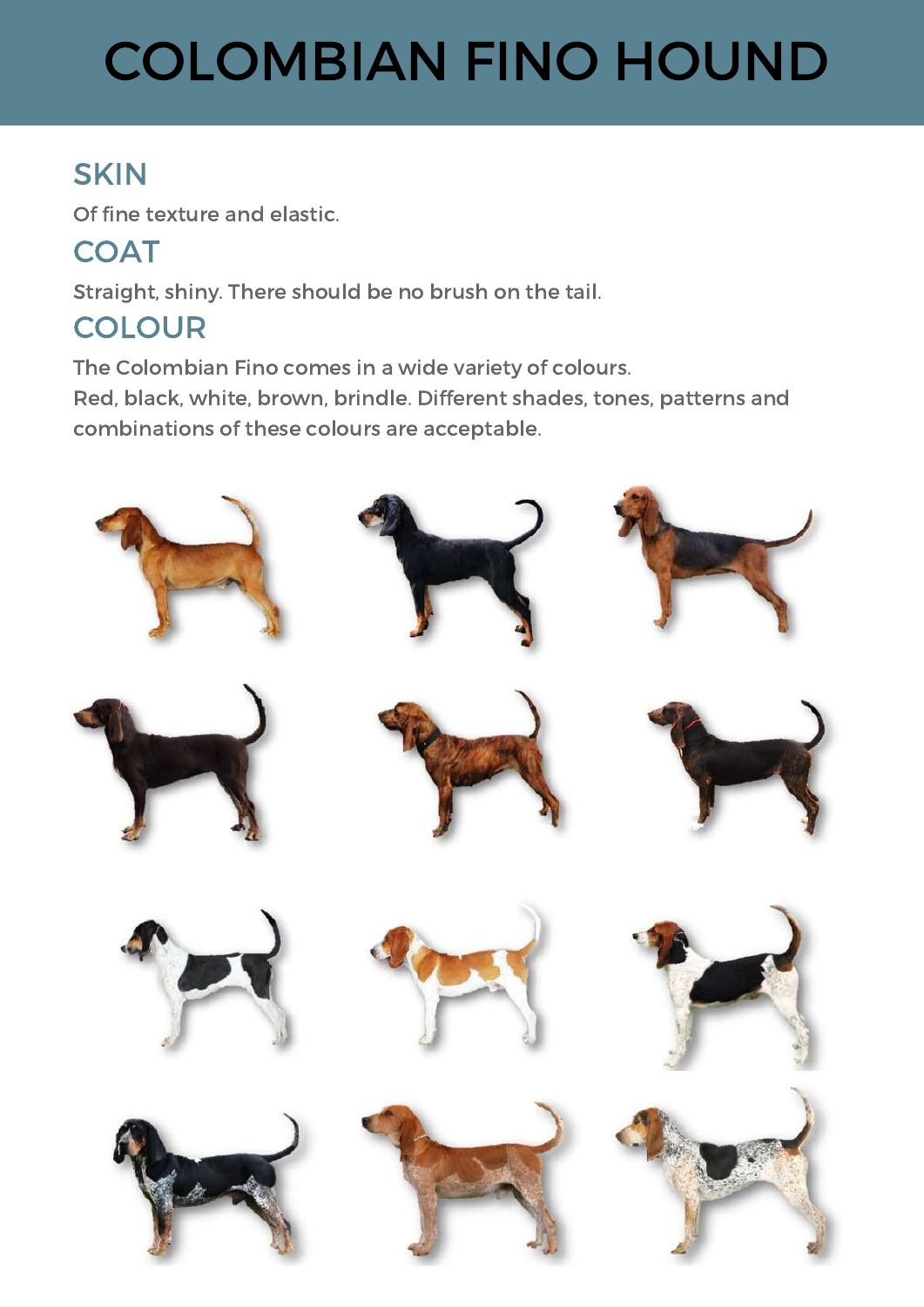#### **SKIN**

Of fine texture and elastic.

**COAT** 

Straight, shiny. There should be no brush on the tail.

#### **COLOUR**

The Colombian Fino comes in a wide variety of colours. Red, black, white, brown, brindle. Different shades, tones, patterns and combinations of these colours are acceptable.

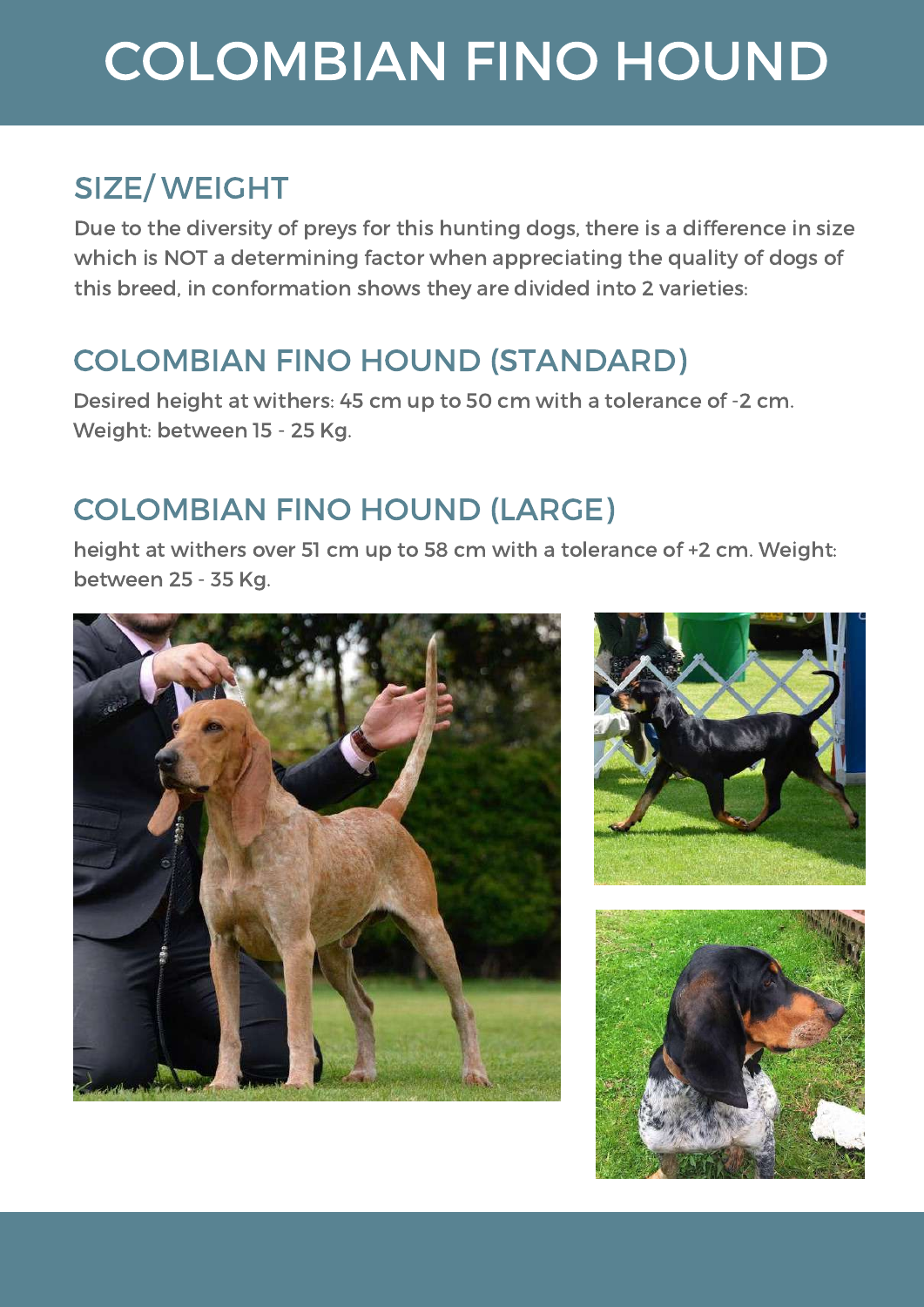#### SIZE/ WEIGHT

Due to the diversity of preys for this hunting dogs, there is a difference in size which is NOT a determining factor when appreciating the quality of dogs of this breed, in conformation shows they are divided into 2 varieties:

#### COLOMBIAN FINO HOUND (STANDARD)

Desired height at withers: 45 cm up to 50 cm with a tolerance of -2 cm. Weight: between 15 - 25 Kg.

#### COLOMBIAN FINO HOUND (LARGE)

height at withers over 51 cm up to 58 cm with a tolerance of +2 cm. Weight: between 25 - 35 Kg.





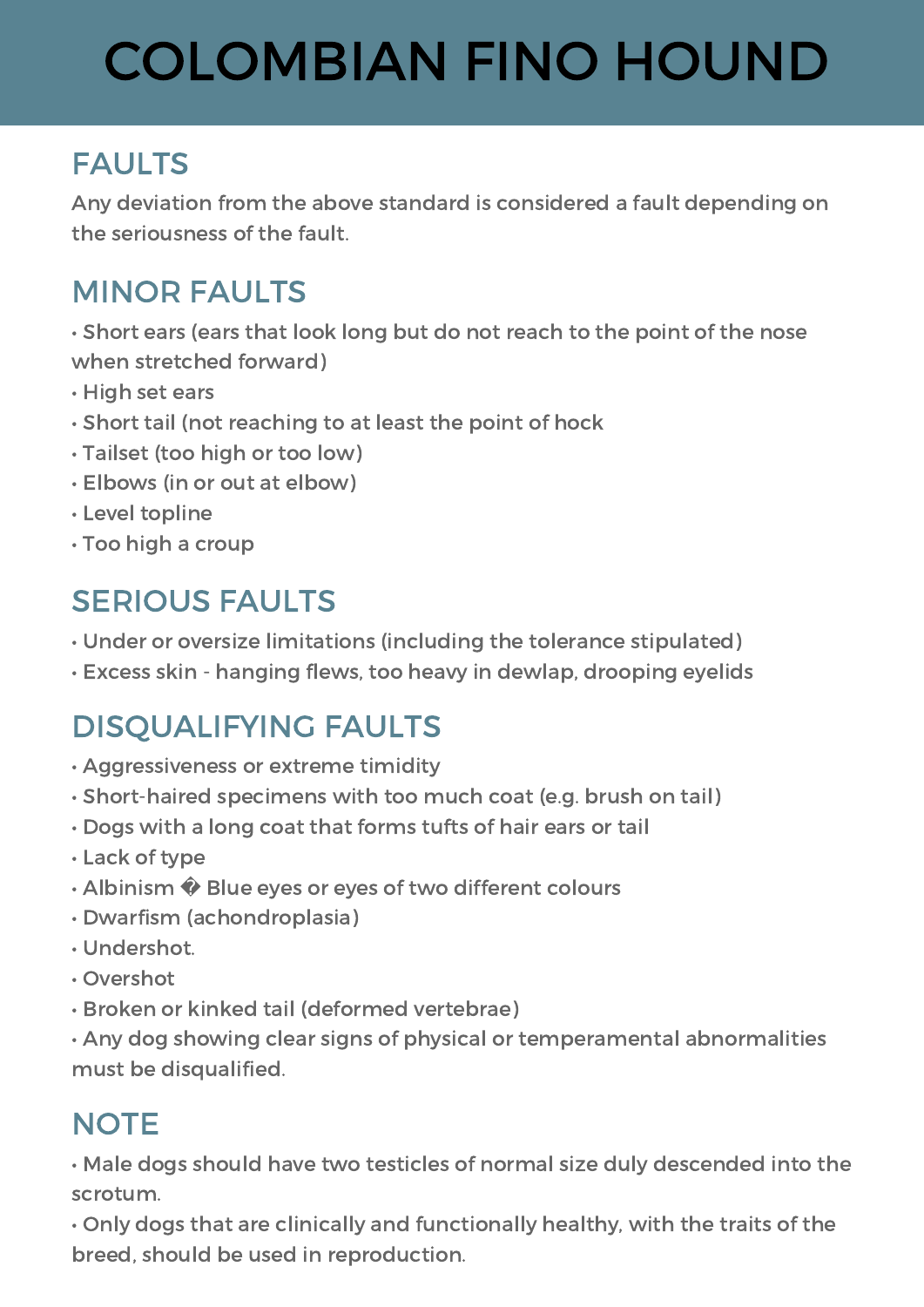#### FAULTS

Any deviation from the above standard is considered a fault depending on the seriousness of the fault.

#### MINOR FAULTS

• Short ears (ears that look long but do not reach to the point of the nose when stretched forward)

- High set ears
- Short tail (not reaching to at least the point of hock
- Tailset (too high or too low)
- Elbows (in or out at elbow)
- Level topline
- Too high a croup

#### SERIOUS FAULTS

- Under or oversize limitations (including the tolerance stipulated)
- Excess skin hanging flews, too heavy in dewlap, drooping eyelids

#### DISQUALIFYING FAULTS

- Aggressiveness or extreme timidity
- Short-haired specimens with too much coat (e.g. brush on tail)
- Dogs with a long coat that forms tufts of hair ears or tail
- Lack of type
- Albinism  $\hat{\mathbf{\diamond}}$  Blue eyes or eyes of two different colours
- Dwarfism (achondroplasia)
- Undershot.
- Overshot
- Broken or kinked tail (deformed vertebrae)

• Any dog showing clear signs of physical or temperamental abnormalities must be disqualified.

#### **NOTE**

• Male dogs should have two testicles of normal size duly descended into the scrotum.

• Only dogs that are clinically and functionally healthy, with the traits of the breed, should be used in reproduction.